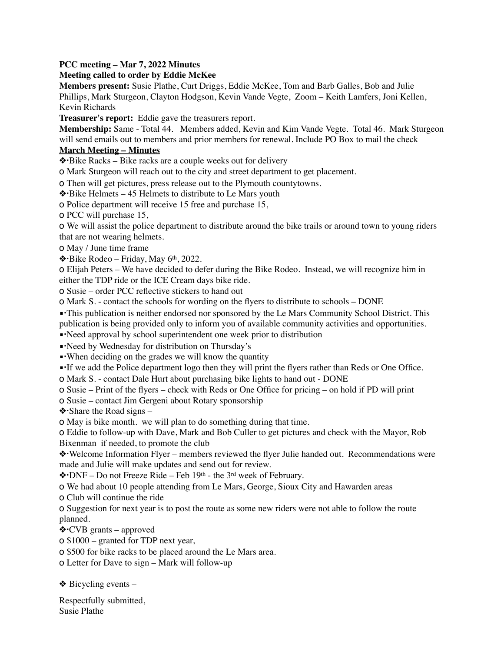## **PCC meeting – Mar 7, 2022 Minutes**

## **Meeting called to order by Eddie McKee**

**Members present:** Susie Plathe, Curt Driggs, Eddie McKee, Tom and Barb Galles, Bob and Julie Phillips, Mark Sturgeon, Clayton Hodgson, Kevin Vande Vegte, Zoom – Keith Lamfers, Joni Kellen, Kevin Richards

**Treasurer's report:** Eddie gave the treasurers report.

**Membership:** Same - Total 44. Members added, Kevin and Kim Vande Vegte. Total 46. Mark Sturgeon will send emails out to members and prior members for renewal. Include PO Box to mail the check

## **March Meeting – Minutes**

❖!Bike Racks – Bike racks are a couple weeks out for delivery

o Mark Sturgeon will reach out to the city and street department to get placement.

o Then will get pictures, press release out to the Plymouth countytowns.

❖!Bike Helmets – 45 Helmets to distribute to Le Mars youth

o Police department will receive 15 free and purchase 15,

o PCC will purchase 15,

o We will assist the police department to distribute around the bike trails or around town to young riders that are not wearing helmets.

o May / June time frame

❖!Bike Rodeo – Friday, May 6th, 2022.

o Elijah Peters – We have decided to defer during the Bike Rodeo. Instead, we will recognize him in either the TDP ride or the ICE Cream days bike ride.

o Susie – order PCC reflective stickers to hand out

o Mark S. - contact the schools for wording on the flyers to distribute to schools – DONE

• This publication is neither endorsed nor sponsored by the Le Mars Community School District. This

publication is being provided only to inform you of available community activities and opportunities.

▪!Need approval by school superintendent one week prior to distribution

▪!Need by Wednesday for distribution on Thursday's

• When deciding on the grades we will know the quantity

▪!If we add the Police department logo then they will print the flyers rather than Reds or One Office.

o Mark S. - contact Dale Hurt about purchasing bike lights to hand out - DONE

o Susie – Print of the flyers – check with Reds or One Office for pricing – on hold if PD will print

o Susie – contact Jim Gergeni about Rotary sponsorship

 $\triangle$  Share the Road signs –

o May is bike month. we will plan to do something during that time.

o Eddie to follow-up with Dave, Mark and Bob Culler to get pictures and check with the Mayor, Rob Bixenman if needed, to promote the club

❖!Welcome Information Flyer – members reviewed the flyer Julie handed out. Recommendations were made and Julie will make updates and send out for review.

❖!DNF – Do not Freeze Ride – Feb 19th - the 3rd week of February.

o We had about 10 people attending from Le Mars, George, Sioux City and Hawarden areas

o Club will continue the ride

o Suggestion for next year is to post the route as some new riders were not able to follow the route planned.

❖!CVB grants – approved

o \$1000 – granted for TDP next year,

o \$500 for bike racks to be placed around the Le Mars area.

o Letter for Dave to sign – Mark will follow-up

 $\triangle$  Bicycling events –

Respectfully submitted, Susie Plathe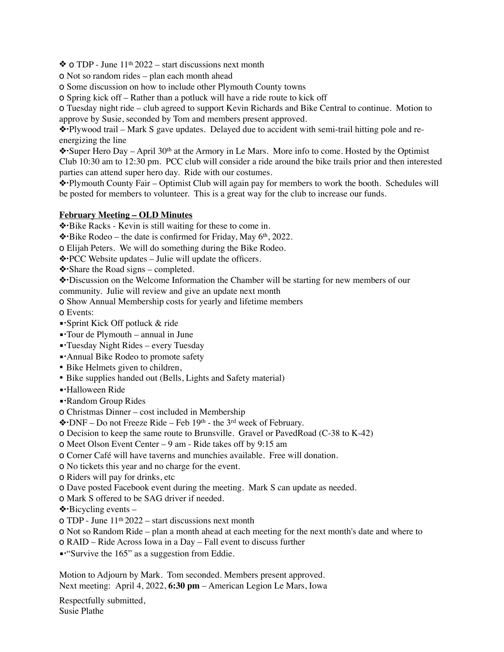$\triangle$  0 TDP - June 11<sup>th</sup> 2022 – start discussions next month

o Not so random rides – plan each month ahead

o Some discussion on how to include other Plymouth County towns

o Spring kick off – Rather than a potluck will have a ride route to kick off

o Tuesday night ride – club agreed to support Kevin Richards and Bike Central to continue. Motion to

approve by Susie, seconded by Tom and members present approved.

❖!Plywood trail – Mark S gave updates. Delayed due to accident with semi-trail hitting pole and reenergizing the line

❖!Super Hero Day – April 30th at the Armory in Le Mars. More info to come. Hosted by the Optimist Club 10:30 am to 12:30 pm. PCC club will consider a ride around the bike trails prior and then interested parties can attend super hero day. Ride with our costumes.

❖!Plymouth County Fair – Optimist Club will again pay for members to work the booth. Schedules will be posted for members to volunteer. This is a great way for the club to increase our funds.

## **February Meeting – OLD Minutes**

❖!Bike Racks - Kevin is still waiting for these to come in.

❖!Bike Rodeo – the date is confirmed for Friday, May 6th, 2022.

o Elijah Peters. We will do something during the Bike Rodeo.

- ❖!PCC Website updates Julie will update the officers.
- ❖!Share the Road signs completed.

❖!Discussion on the Welcome Information the Chamber will be starting for new members of our community. Julie will review and give an update next month

o Show Annual Membership costs for yearly and lifetime members

- o Events:
- ▪!Sprint Kick Off potluck & ride
- ▪!Tour de Plymouth annual in June
- ▪!Tuesday Night Rides every Tuesday
- Annual Bike Rodeo to promote safety
- Bike Helmets given to children,
- Bike supplies handed out (Bells, Lights and Safety material)
- ▪!Halloween Ride
- Random Group Rides
- o Christmas Dinner cost included in Membership
- ❖!DNF Do not Freeze Ride Feb 19th the 3rd week of February.
- o Decision to keep the same route to Brunsville. Gravel or PavedRoad (C-38 to K-42)
- o Meet Olson Event Center 9 am Ride takes off by 9:15 am
- o Corner Café will have taverns and munchies available. Free will donation.
- o No tickets this year and no charge for the event.
- o Riders will pay for drinks, etc
- o Dave posted Facebook event during the meeting. Mark S can update as needed.
- o Mark S offered to be SAG driver if needed.
- $\triangle$  Bicycling events –
- $\sigma$  TDP June 11<sup>th</sup> 2022 start discussions next month
- o Not so Random Ride plan a month ahead at each meeting for the next month's date and where to
- o RAID Ride Across Iowa in a Day Fall event to discuss further
- ▪!"Survive the 165" as a suggestion from Eddie.

Motion to Adjourn by Mark. Tom seconded. Members present approved. Next meeting: April 4, 2022, **6:30 pm** – American Legion Le Mars, Iowa

Respectfully submitted, Susie Plathe